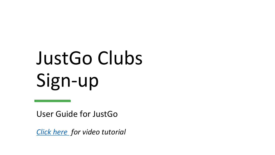# JustGo Clubs Sign-up

User Guide for JustGo

*[Click here](https://youtu.be/6lT1UyWYHnI) for video tutorial*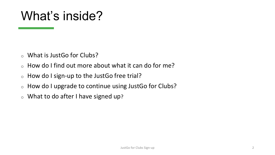### What's inside?

- <sup>o</sup> What is JustGo for Clubs?
- <sup>o</sup> How do I find out more about what it can do for me?
- <sup>o</sup> How do I sign-up to the JustGo free trial?
- <sup>o</sup> How do I upgrade to continue using JustGo for Clubs?
- $\circ$  What to do after I have signed up?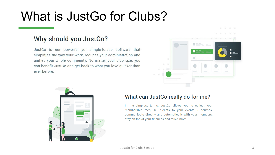### What is JustGo for Clubs?

#### Why should you JustGo?

JustGo is our powerful yet simple-to-use software that simplifies the way your work, reduces your administration and unifies your whole community. No matter your club size, you can benefit JustGo and get back to what you love quicker than ever before.





#### What can JustGo really do for me?

In the simplest terms, JustGo allows you to collect your membership fees, sell tickets to your events & courses, communicate directly and automatically with your members, stay on top of your finances and much more.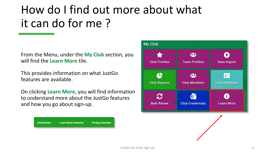#### How do I find out more about what it can do for me ?

From the Menu, under the **My Club** section, you will find the **Learn More** tile.

This provides information on what JustGo features are available.

On clicking **Learn More**, you will find information to understand more about the JustGo features and how you go about sign-up.



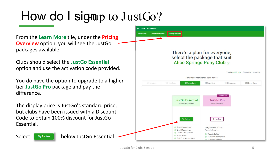## How do I signap to JustGo?

From the **Learn More** tile, under the **Pricing Overview** option, you will see the JustGo packages available.

Clubs should select the **JustGo Essential**  option and use the activation code provided.

You do have the option to upgrade to a higher tier **JustGo Pro** package and pay the difference.

The display price is JustGo's standard price, but clubs have been issued with a Discount Code to obtain 100% discount for JustGo Essential.

Select **Below JustGo Essential** 

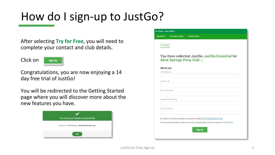#### How do I sign-up to JustGo?

After selecting **Try for Free**, you will need to complete your contact and club details.

Click on

Sign Up

Congratulations, you are now enjoying a 14 day free trial of JustGo!

You will be redirected to the Getting Started page where you will discover more about the new features you have.



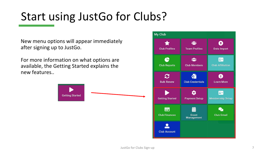#### Start using JustGo for Clubs?

New menu options will appear immediately after signing up to JustGo.

For more information on what options are available, the Getting Started explains the new features..



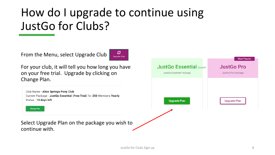### How do I upgrade to continue using JustGo for Clubs?

From the Menu, select Upgrade Club



For your club, it will tell you how long you have on your free trial. Upgrade by clicking on Change Plan.

Club Name - Alice Springs Pony Club Current Package - JustGo Essential (Free Trial) for 250 Members Yearly Status - 13 days left



Select Upgrade Plan on the package you wish to continue with.

|                                 | <b>Most Popular</b> |
|---------------------------------|---------------------|
| <b>JustGo Essential</b> current | <b>JustGo Pro</b>   |
| JustGo Essential Package        | JustGo Pro Package  |
|                                 |                     |
|                                 |                     |
| <b>Upgrade Plan</b>             | <b>Upgrade Plan</b> |
|                                 |                     |
|                                 |                     |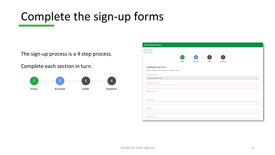#### Complete the sign-up forms

The sign-up process is a 4 step process.

Complete each section in turn.



| JustGo Upgrade Plan                             |                |                |                         |                |  |
|-------------------------------------------------|----------------|----------------|-------------------------|----------------|--|
| $\leftarrow$ Summary                            |                |                |                         |                |  |
|                                                 |                |                |                         |                |  |
|                                                 | $\overline{1}$ | $\overline{2}$ | $\overline{\mathbf{3}}$ | $\overline{4}$ |  |
|                                                 | <b>Plans</b>   | <b>Account</b> | Order                   | Payment        |  |
| <b>COMPANY DETAILS</b>                          |                |                |                         |                |  |
| Please complete and verify your company details |                |                |                         |                |  |
| Company Name                                    |                |                |                         |                |  |
| alice springs pony club                         |                |                |                         |                |  |
| Address Line 1 *                                |                |                |                         |                |  |
|                                                 |                |                |                         |                |  |
| Address Line 2                                  |                |                |                         |                |  |
|                                                 |                |                |                         |                |  |
|                                                 |                |                |                         |                |  |
| Suburb *                                        |                |                |                         |                |  |
|                                                 |                |                |                         |                |  |
| State $*$                                       |                |                |                         |                |  |
|                                                 |                |                |                         |                |  |
| Postcode *                                      |                |                |                         |                |  |
|                                                 |                |                |                         |                |  |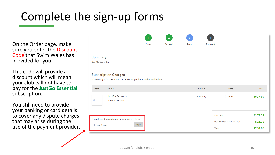#### Complete the sign-up forms

On the Order page, make sure you enter the Discount Code that Swim Wales has provided for you.

This code will provide a discount which will mean your club will not have to pay for the **JustGo Essential**  subscription.

You still need to provide your banking or card details to cover any dispute charges that may arise during the use of the payment provider.



#### **Summary** JustGo Essential

#### **Subscription Charges**

A summary of the Subscription Services products is detailed below:

| Item                     | Name                                                      | Period   | Rate                                                  | <b>Total</b>                    |
|--------------------------|-----------------------------------------------------------|----------|-------------------------------------------------------|---------------------------------|
| $\overline{\phantom{a}}$ | <b>JustGo Essential</b><br>JustGo Essential               | Annually | \$227.27                                              | \$227.27                        |
| discount code            | If you have discount code, please enter it here.<br>Apply |          | <b>Sub Total</b><br><b>GST AU Standard Rate (10%)</b> | \$227.27<br>\$22.73<br>\$250.00 |